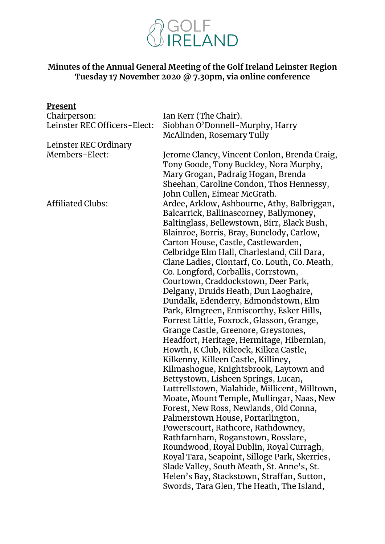

#### **Minutes of the Annual General Meeting of the Golf Ireland Leinster Region Tuesday 17 November 2020 @ 7.30pm, via online conference**

| Present                      |                                               |
|------------------------------|-----------------------------------------------|
| Chairperson:                 | Ian Kerr (The Chair).                         |
| Leinster REC Officers-Elect: | Siobhan O'Donnell-Murphy, Harry               |
|                              | McAlinden, Rosemary Tully                     |
| Leinster REC Ordinary        |                                               |
| Members-Elect:               | Jerome Clancy, Vincent Conlon, Brenda Craig,  |
|                              | Tony Goode, Tony Buckley, Nora Murphy,        |
|                              | Mary Grogan, Padraig Hogan, Brenda            |
|                              | Sheehan, Caroline Condon, Thos Hennessy,      |
|                              | John Cullen, Eimear McGrath.                  |
| <b>Affiliated Clubs:</b>     | Ardee, Arklow, Ashbourne, Athy, Balbriggan,   |
|                              | Balcarrick, Ballinascorney, Ballymoney,       |
|                              | Baltinglass, Bellewstown, Birr, Black Bush,   |
|                              | Blainroe, Borris, Bray, Bunclody, Carlow,     |
|                              | Carton House, Castle, Castlewarden,           |
|                              | Celbridge Elm Hall, Charlesland, Cill Dara,   |
|                              | Clane Ladies, Clontarf, Co. Louth, Co. Meath, |
|                              | Co. Longford, Corballis, Corrstown,           |
|                              | Courtown, Craddockstown, Deer Park,           |
|                              | Delgany, Druids Heath, Dun Laoghaire,         |
|                              | Dundalk, Edenderry, Edmondstown, Elm          |
|                              | Park, Elmgreen, Enniscorthy, Esker Hills,     |
|                              | Forrest Little, Foxrock, Glasson, Grange,     |
|                              | Grange Castle, Greenore, Greystones,          |
|                              | Headfort, Heritage, Hermitage, Hibernian,     |
|                              | Howth, K Club, Kilcock, Kilkea Castle,        |
|                              | Kilkenny, Killeen Castle, Killiney,           |
|                              | Kilmashogue, Knightsbrook, Laytown and        |
|                              | Bettystown, Lisheen Springs, Lucan,           |
|                              | Luttrellstown, Malahide, Millicent, Milltown, |
|                              | Moate, Mount Temple, Mullingar, Naas, New     |
|                              | Forest, New Ross, Newlands, Old Conna,        |
|                              | Palmerstown House, Portarlington,             |
|                              | Powerscourt, Rathcore, Rathdowney,            |
|                              | Rathfarnham, Roganstown, Rosslare,            |
|                              | Roundwood, Royal Dublin, Royal Curragh,       |
|                              | Royal Tara, Seapoint, Silloge Park, Skerries, |
|                              | Slade Valley, South Meath, St. Anne's, St.    |
|                              | Helen's Bay, Stackstown, Straffan, Sutton,    |
|                              | Swords, Tara Glen, The Heath, The Island,     |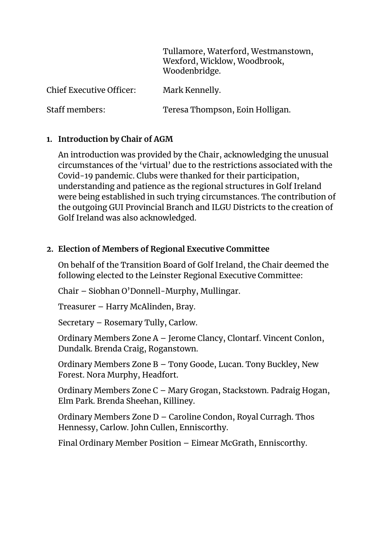Tullamore, Waterford, Westmanstown, Wexford, Wicklow, Woodbrook, Woodenbridge.

Chief Executive Officer: Mark Kennelly.

Staff members: Teresa Thompson, Eoin Holligan.

# **1. Introduction by Chair of AGM**

An introduction was provided by the Chair, acknowledging the unusual circumstances of the 'virtual' due to the restrictions associated with the Covid-19 pandemic. Clubs were thanked for their participation, understanding and patience as the regional structures in Golf Ireland were being established in such trying circumstances. The contribution of the outgoing GUI Provincial Branch and ILGU Districts to the creation of Golf Ireland was also acknowledged.

## **2. Election of Members of Regional Executive Committee**

On behalf of the Transition Board of Golf Ireland, the Chair deemed the following elected to the Leinster Regional Executive Committee:

Chair – Siobhan O'Donnell-Murphy, Mullingar.

Treasurer – Harry McAlinden, Bray.

Secretary – Rosemary Tully, Carlow.

Ordinary Members Zone A – Jerome Clancy, Clontarf. Vincent Conlon, Dundalk. Brenda Craig, Roganstown.

Ordinary Members Zone B – Tony Goode, Lucan. Tony Buckley, New Forest. Nora Murphy, Headfort.

Ordinary Members Zone C – Mary Grogan, Stackstown. Padraig Hogan, Elm Park. Brenda Sheehan, Killiney.

Ordinary Members Zone D – Caroline Condon, Royal Curragh. Thos Hennessy, Carlow. John Cullen, Enniscorthy.

Final Ordinary Member Position – Eimear McGrath, Enniscorthy.